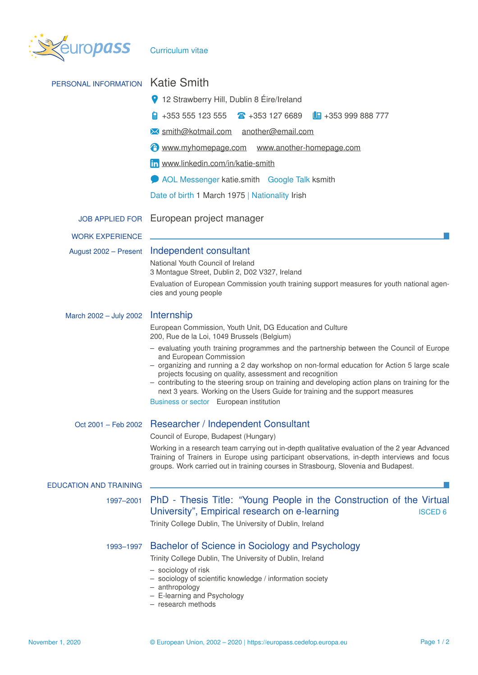

| PERSONAL INFORMATION          | <b>Katie Smith</b>                                                                                                                                                                                                                                                                   |  |  |  |  |  |  |
|-------------------------------|--------------------------------------------------------------------------------------------------------------------------------------------------------------------------------------------------------------------------------------------------------------------------------------|--|--|--|--|--|--|
|                               | 12 Strawberry Hill, Dublin 8 Éire/Ireland                                                                                                                                                                                                                                            |  |  |  |  |  |  |
|                               | +353 555 123 555<br>$\textbf{a}$ +353 127 6689<br>$\Box$ +353 999 888 777                                                                                                                                                                                                            |  |  |  |  |  |  |
|                               | M smith@kotmail.com another@email.com                                                                                                                                                                                                                                                |  |  |  |  |  |  |
|                               | www.myhomepage.com www.another-homepage.com                                                                                                                                                                                                                                          |  |  |  |  |  |  |
|                               | in www.linkedin.com/in/katie-smith                                                                                                                                                                                                                                                   |  |  |  |  |  |  |
|                               | AOL Messenger katie.smith Google Talk ksmith                                                                                                                                                                                                                                         |  |  |  |  |  |  |
|                               | Date of birth 1 March 1975   Nationality Irish                                                                                                                                                                                                                                       |  |  |  |  |  |  |
|                               | JOB APPLIED FOR European project manager                                                                                                                                                                                                                                             |  |  |  |  |  |  |
| <b>WORK EXPERIENCE</b>        |                                                                                                                                                                                                                                                                                      |  |  |  |  |  |  |
| August 2002 - Present         | Independent consultant                                                                                                                                                                                                                                                               |  |  |  |  |  |  |
|                               | National Youth Council of Ireland<br>3 Montague Street, Dublin 2, D02 V327, Ireland                                                                                                                                                                                                  |  |  |  |  |  |  |
|                               | Evaluation of European Commission youth training support measures for youth national agen-<br>cies and young people                                                                                                                                                                  |  |  |  |  |  |  |
| March 2002 - July 2002        | Internship                                                                                                                                                                                                                                                                           |  |  |  |  |  |  |
|                               | European Commission, Youth Unit, DG Education and Culture<br>200, Rue de la Loi, 1049 Brussels (Belgium)                                                                                                                                                                             |  |  |  |  |  |  |
|                               | - evaluating youth training programmes and the partnership between the Council of Europe<br>and European Commission<br>- organizing and running a 2 day workshop on non-formal education for Action 5 large scale                                                                    |  |  |  |  |  |  |
|                               | projects focusing on quality, assessment and recognition<br>- contributing to the steering sroup on training and developing action plans on training for the<br>next 3 years. Working on the Users Guide for training and the support measures                                       |  |  |  |  |  |  |
|                               | Business or sector European institution                                                                                                                                                                                                                                              |  |  |  |  |  |  |
|                               | Oct 2001 - Feb 2002 Researcher / Independent Consultant                                                                                                                                                                                                                              |  |  |  |  |  |  |
|                               | Council of Europe, Budapest (Hungary)                                                                                                                                                                                                                                                |  |  |  |  |  |  |
|                               | Working in a research team carrying out in-depth qualitative evaluation of the 2 year Advanced<br>Training of Trainers in Europe using participant observations, in-depth interviews and focus<br>groups. Work carried out in training courses in Strasbourg, Slovenia and Budapest. |  |  |  |  |  |  |
| <b>EDUCATION AND TRAINING</b> |                                                                                                                                                                                                                                                                                      |  |  |  |  |  |  |
| 1997-2001                     | PhD - Thesis Title: "Young People in the Construction of the Virtual<br>University", Empirical research on e-learning<br><b>ISCED 6</b>                                                                                                                                              |  |  |  |  |  |  |
|                               | Trinity College Dublin, The University of Dublin, Ireland                                                                                                                                                                                                                            |  |  |  |  |  |  |
| 1993-1997                     | Bachelor of Science in Sociology and Psychology                                                                                                                                                                                                                                      |  |  |  |  |  |  |
|                               | Trinity College Dublin, The University of Dublin, Ireland                                                                                                                                                                                                                            |  |  |  |  |  |  |
|                               | - sociology of risk<br>- sociology of scientific knowledge / information society<br>- anthropology<br>- E-learning and Psychology<br>- research methods                                                                                                                              |  |  |  |  |  |  |
|                               |                                                                                                                                                                                                                                                                                      |  |  |  |  |  |  |